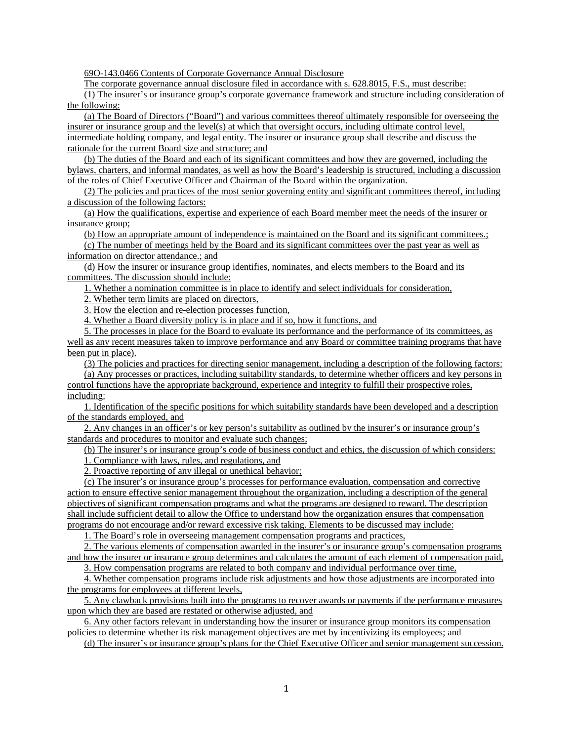69O-143.0466 Contents of Corporate Governance Annual Disclosure

The corporate governance annual disclosure filed in accordance with s. 628.8015, F.S., must describe:

(1) The insurer's or insurance group's corporate governance framework and structure including consideration of the following:

(a) The Board of Directors ("Board") and various committees thereof ultimately responsible for overseeing the insurer or insurance group and the level(s) at which that oversight occurs, including ultimate control level, intermediate holding company, and legal entity. The insurer or insurance group shall describe and discuss the rationale for the current Board size and structure; and

(b) The duties of the Board and each of its significant committees and how they are governed, including the bylaws, charters, and informal mandates, as well as how the Board's leadership is structured, including a discussion of the roles of Chief Executive Officer and Chairman of the Board within the organization.

(2) The policies and practices of the most senior governing entity and significant committees thereof, including a discussion of the following factors:

(a) How the qualifications, expertise and experience of each Board member meet the needs of the insurer or insurance group;

(b) How an appropriate amount of independence is maintained on the Board and its significant committees.;

(c) The number of meetings held by the Board and its significant committees over the past year as well as information on director attendance.; and

(d) How the insurer or insurance group identifies, nominates, and elects members to the Board and its committees. The discussion should include:

1. Whether a nomination committee is in place to identify and select individuals for consideration,

2. Whether term limits are placed on directors,

3. How the election and re-election processes function,

4. Whether a Board diversity policy is in place and if so, how it functions, and

5. The processes in place for the Board to evaluate its performance and the performance of its committees, as well as any recent measures taken to improve performance and any Board or committee training programs that have been put in place).

(3) The policies and practices for directing senior management, including a description of the following factors:

(a) Any processes or practices, including suitability standards, to determine whether officers and key persons in control functions have the appropriate background, experience and integrity to fulfill their prospective roles, including:

1. Identification of the specific positions for which suitability standards have been developed and a description of the standards employed, and

2. Any changes in an officer's or key person's suitability as outlined by the insurer's or insurance group's standards and procedures to monitor and evaluate such changes;

(b) The insurer's or insurance group's code of business conduct and ethics, the discussion of which considers:

1. Compliance with laws, rules, and regulations, and

2. Proactive reporting of any illegal or unethical behavior;

(c) The insurer's or insurance group's processes for performance evaluation, compensation and corrective action to ensure effective senior management throughout the organization, including a description of the general objectives of significant compensation programs and what the programs are designed to reward. The description shall include sufficient detail to allow the Office to understand how the organization ensures that compensation programs do not encourage and/or reward excessive risk taking. Elements to be discussed may include:

1. The Board's role in overseeing management compensation programs and practices,

2. The various elements of compensation awarded in the insurer's or insurance group's compensation programs and how the insurer or insurance group determines and calculates the amount of each element of compensation paid,

3. How compensation programs are related to both company and individual performance over time,

4. Whether compensation programs include risk adjustments and how those adjustments are incorporated into the programs for employees at different levels,

5. Any clawback provisions built into the programs to recover awards or payments if the performance measures upon which they are based are restated or otherwise adjusted, and

6. Any other factors relevant in understanding how the insurer or insurance group monitors its compensation policies to determine whether its risk management objectives are met by incentivizing its employees; and

(d) The insurer's or insurance group's plans for the Chief Executive Officer and senior management succession.